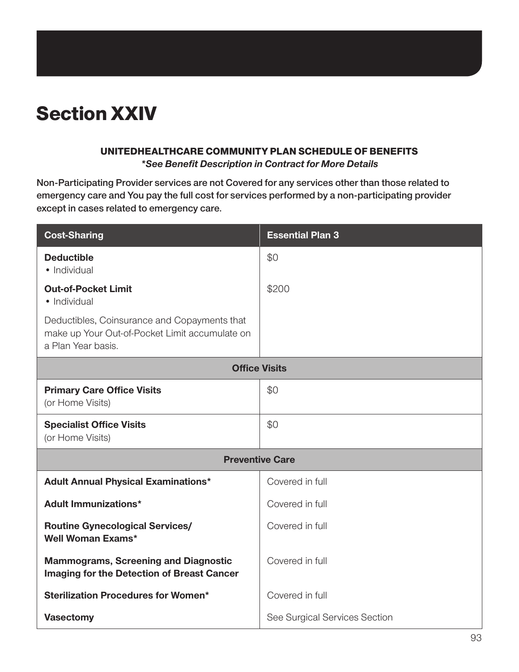# Section XXIV

#### UNITEDHEALTHCARE COMMUNITY PLAN SCHEDULE OF BENEFITS

*\*See Benefit Description in Contract for More Details*

**Non-Participating Provider services are not Covered for any services other than those related to emergency care and You pay the full cost for services performed by a non-participating provider except in cases related to emergency care.**

| <b>Cost-Sharing</b>                                                                                                  | <b>Essential Plan 3</b>       |  |
|----------------------------------------------------------------------------------------------------------------------|-------------------------------|--|
| <b>Deductible</b><br>· Individual                                                                                    | \$0                           |  |
| <b>Out-of-Pocket Limit</b><br>· Individual                                                                           | \$200                         |  |
| Deductibles, Coinsurance and Copayments that<br>make up Your Out-of-Pocket Limit accumulate on<br>a Plan Year basis. |                               |  |
| <b>Office Visits</b>                                                                                                 |                               |  |
| <b>Primary Care Office Visits</b><br>(or Home Visits)                                                                | \$0                           |  |
| <b>Specialist Office Visits</b><br>(or Home Visits)                                                                  | \$0                           |  |
| <b>Preventive Care</b>                                                                                               |                               |  |
| <b>Adult Annual Physical Examinations*</b>                                                                           | Covered in full               |  |
| <b>Adult Immunizations*</b>                                                                                          | Covered in full               |  |
| <b>Routine Gynecological Services/</b><br><b>Well Woman Exams*</b>                                                   | Covered in full               |  |
| <b>Mammograms, Screening and Diagnostic</b><br>Imaging for the Detection of Breast Cancer                            | Covered in full               |  |
| <b>Sterilization Procedures for Women*</b>                                                                           | Covered in full               |  |
| <b>Vasectomy</b>                                                                                                     | See Surgical Services Section |  |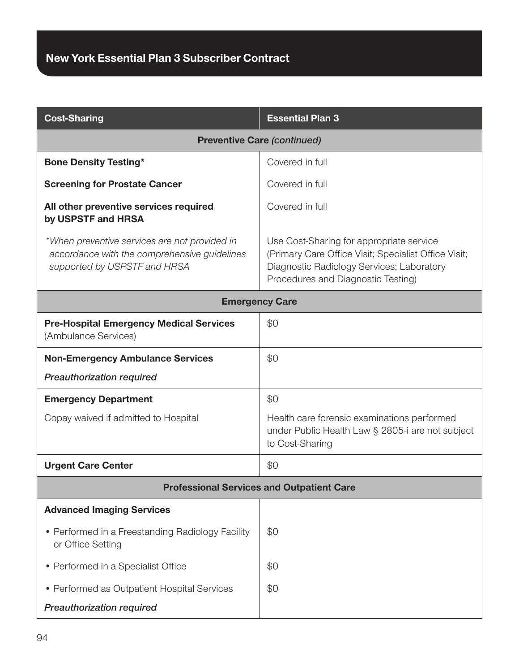| <b>Cost-Sharing</b>                                                                                                           | <b>Essential Plan 3</b>                                                                                                                                                             |  |
|-------------------------------------------------------------------------------------------------------------------------------|-------------------------------------------------------------------------------------------------------------------------------------------------------------------------------------|--|
|                                                                                                                               | <b>Preventive Care (continued)</b>                                                                                                                                                  |  |
| <b>Bone Density Testing*</b>                                                                                                  | Covered in full                                                                                                                                                                     |  |
| <b>Screening for Prostate Cancer</b>                                                                                          | Covered in full                                                                                                                                                                     |  |
| All other preventive services required<br>by USPSTF and HRSA                                                                  | Covered in full                                                                                                                                                                     |  |
| *When preventive services are not provided in<br>accordance with the comprehensive guidelines<br>supported by USPSTF and HRSA | Use Cost-Sharing for appropriate service<br>(Primary Care Office Visit; Specialist Office Visit;<br>Diagnostic Radiology Services; Laboratory<br>Procedures and Diagnostic Testing) |  |
| <b>Emergency Care</b>                                                                                                         |                                                                                                                                                                                     |  |
| <b>Pre-Hospital Emergency Medical Services</b><br>(Ambulance Services)                                                        | \$0                                                                                                                                                                                 |  |
| <b>Non-Emergency Ambulance Services</b>                                                                                       | \$0                                                                                                                                                                                 |  |
| <b>Preauthorization required</b>                                                                                              |                                                                                                                                                                                     |  |
| <b>Emergency Department</b>                                                                                                   | \$0                                                                                                                                                                                 |  |
| Copay waived if admitted to Hospital                                                                                          | Health care forensic examinations performed<br>under Public Health Law § 2805-i are not subject<br>to Cost-Sharing                                                                  |  |
| <b>Urgent Care Center</b>                                                                                                     | \$0                                                                                                                                                                                 |  |
| <b>Professional Services and Outpatient Care</b>                                                                              |                                                                                                                                                                                     |  |
| <b>Advanced Imaging Services</b>                                                                                              |                                                                                                                                                                                     |  |
| • Performed in a Freestanding Radiology Facility<br>or Office Setting                                                         | \$0                                                                                                                                                                                 |  |
| • Performed in a Specialist Office                                                                                            | \$0                                                                                                                                                                                 |  |
| • Performed as Outpatient Hospital Services                                                                                   | \$0                                                                                                                                                                                 |  |
| <b>Preauthorization required</b>                                                                                              |                                                                                                                                                                                     |  |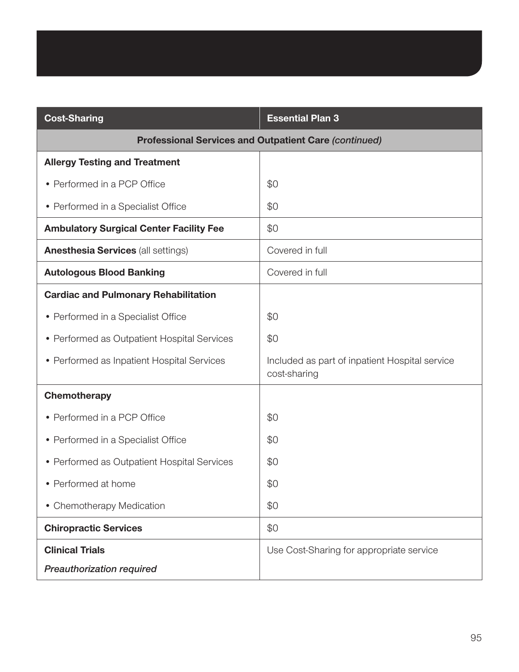| <b>Cost-Sharing</b>                                          | <b>Essential Plan 3</b>                                        |
|--------------------------------------------------------------|----------------------------------------------------------------|
| <b>Professional Services and Outpatient Care (continued)</b> |                                                                |
| <b>Allergy Testing and Treatment</b>                         |                                                                |
| • Performed in a PCP Office                                  | \$0                                                            |
| • Performed in a Specialist Office                           | \$0                                                            |
| <b>Ambulatory Surgical Center Facility Fee</b>               | \$0                                                            |
| <b>Anesthesia Services (all settings)</b>                    | Covered in full                                                |
| <b>Autologous Blood Banking</b>                              | Covered in full                                                |
| <b>Cardiac and Pulmonary Rehabilitation</b>                  |                                                                |
| • Performed in a Specialist Office                           | \$0                                                            |
| • Performed as Outpatient Hospital Services                  | \$0                                                            |
| • Performed as Inpatient Hospital Services                   | Included as part of inpatient Hospital service<br>cost-sharing |
| Chemotherapy                                                 |                                                                |
| • Performed in a PCP Office                                  | \$0                                                            |
| • Performed in a Specialist Office                           | \$0                                                            |
| • Performed as Outpatient Hospital Services                  | \$0                                                            |
| • Performed at home                                          | \$0                                                            |
| • Chemotherapy Medication                                    | \$0                                                            |
| <b>Chiropractic Services</b>                                 | \$0                                                            |
| <b>Clinical Trials</b>                                       | Use Cost-Sharing for appropriate service                       |
| <b>Preauthorization required</b>                             |                                                                |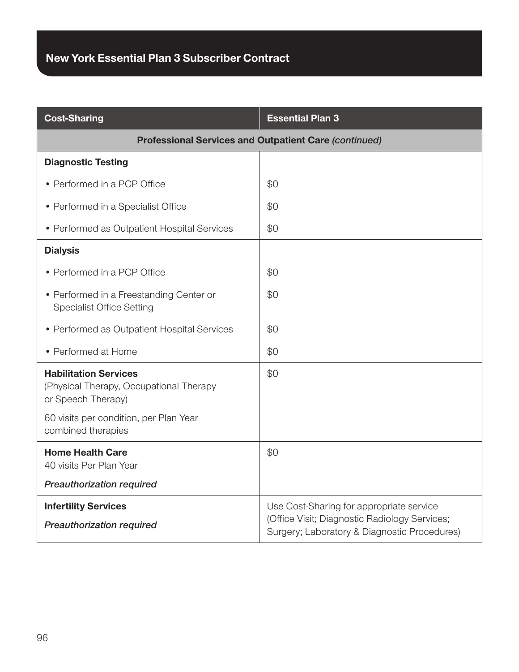| <b>Cost-Sharing</b>                                                                                                                     | <b>Essential Plan 3</b>                                                                                                                   |
|-----------------------------------------------------------------------------------------------------------------------------------------|-------------------------------------------------------------------------------------------------------------------------------------------|
| <b>Professional Services and Outpatient Care (continued)</b>                                                                            |                                                                                                                                           |
| <b>Diagnostic Testing</b>                                                                                                               |                                                                                                                                           |
| • Performed in a PCP Office                                                                                                             | \$0                                                                                                                                       |
| • Performed in a Specialist Office                                                                                                      | \$0                                                                                                                                       |
| • Performed as Outpatient Hospital Services                                                                                             | \$0                                                                                                                                       |
| <b>Dialysis</b>                                                                                                                         |                                                                                                                                           |
| • Performed in a PCP Office                                                                                                             | \$0                                                                                                                                       |
| • Performed in a Freestanding Center or<br><b>Specialist Office Setting</b>                                                             | \$0                                                                                                                                       |
| • Performed as Outpatient Hospital Services                                                                                             | \$0                                                                                                                                       |
| • Performed at Home                                                                                                                     | \$0                                                                                                                                       |
| <b>Habilitation Services</b><br>(Physical Therapy, Occupational Therapy<br>or Speech Therapy)<br>60 visits per condition, per Plan Year | \$0                                                                                                                                       |
| combined therapies                                                                                                                      |                                                                                                                                           |
| <b>Home Health Care</b><br>40 visits Per Plan Year                                                                                      | \$0                                                                                                                                       |
| <b>Preauthorization required</b>                                                                                                        |                                                                                                                                           |
| <b>Infertility Services</b><br><b>Preauthorization required</b>                                                                         | Use Cost-Sharing for appropriate service<br>(Office Visit; Diagnostic Radiology Services;<br>Surgery; Laboratory & Diagnostic Procedures) |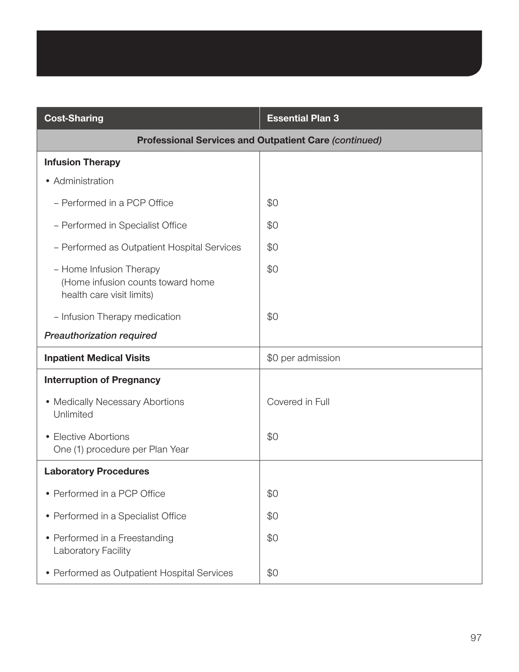| <b>Cost-Sharing</b>                                                                       | <b>Essential Plan 3</b> |
|-------------------------------------------------------------------------------------------|-------------------------|
| <b>Professional Services and Outpatient Care (continued)</b>                              |                         |
| <b>Infusion Therapy</b>                                                                   |                         |
| • Administration                                                                          |                         |
| - Performed in a PCP Office                                                               | \$0                     |
| - Performed in Specialist Office                                                          | \$0                     |
| - Performed as Outpatient Hospital Services                                               | \$0                     |
| - Home Infusion Therapy<br>(Home infusion counts toward home<br>health care visit limits) | \$0                     |
| - Infusion Therapy medication                                                             | \$0                     |
| <b>Preauthorization required</b>                                                          |                         |
| <b>Inpatient Medical Visits</b>                                                           | \$0 per admission       |
| <b>Interruption of Pregnancy</b>                                                          |                         |
| • Medically Necessary Abortions<br>Unlimited                                              | Covered in Full         |
| • Elective Abortions<br>One (1) procedure per Plan Year                                   | \$0                     |
| <b>Laboratory Procedures</b>                                                              |                         |
| • Performed in a PCP Office                                                               | \$0                     |
| • Performed in a Specialist Office                                                        | \$0                     |
| • Performed in a Freestanding<br>Laboratory Facility                                      | \$0                     |
| • Performed as Outpatient Hospital Services                                               | \$0                     |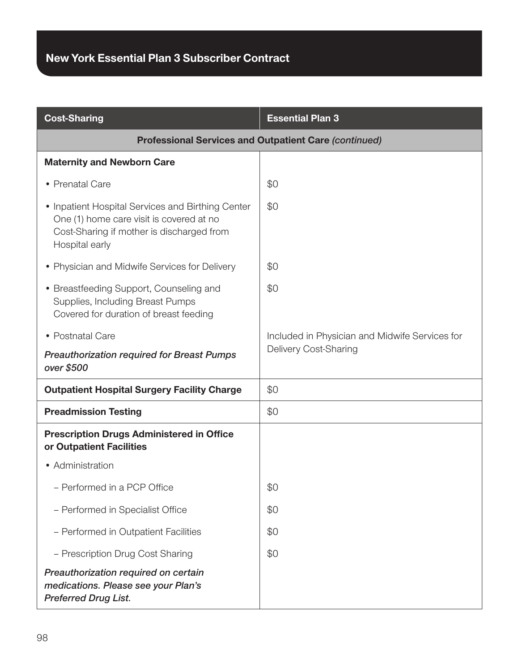| <b>Cost-Sharing</b>                                                                                                                                          | <b>Essential Plan 3</b>                        |
|--------------------------------------------------------------------------------------------------------------------------------------------------------------|------------------------------------------------|
| <b>Professional Services and Outpatient Care (continued)</b>                                                                                                 |                                                |
| <b>Maternity and Newborn Care</b>                                                                                                                            |                                                |
| • Prenatal Care                                                                                                                                              | \$0                                            |
| • Inpatient Hospital Services and Birthing Center<br>One (1) home care visit is covered at no<br>Cost-Sharing if mother is discharged from<br>Hospital early | \$0                                            |
| • Physician and Midwife Services for Delivery                                                                                                                | \$0                                            |
| • Breastfeeding Support, Counseling and<br>Supplies, Including Breast Pumps<br>Covered for duration of breast feeding                                        | \$0                                            |
| • Postnatal Care                                                                                                                                             | Included in Physician and Midwife Services for |
| <b>Preauthorization required for Breast Pumps</b><br>over \$500                                                                                              | Delivery Cost-Sharing                          |
| <b>Outpatient Hospital Surgery Facility Charge</b>                                                                                                           | \$0                                            |
| <b>Preadmission Testing</b>                                                                                                                                  | \$0                                            |
| <b>Prescription Drugs Administered in Office</b><br>or Outpatient Facilities                                                                                 |                                                |
| • Administration                                                                                                                                             |                                                |
| - Performed in a PCP Office                                                                                                                                  | \$0                                            |
| - Performed in Specialist Office                                                                                                                             | \$0                                            |
| - Performed in Outpatient Facilities                                                                                                                         | \$0                                            |
| - Prescription Drug Cost Sharing                                                                                                                             | \$0                                            |
| Preauthorization required on certain<br>medications. Please see your Plan's<br><b>Preferred Drug List.</b>                                                   |                                                |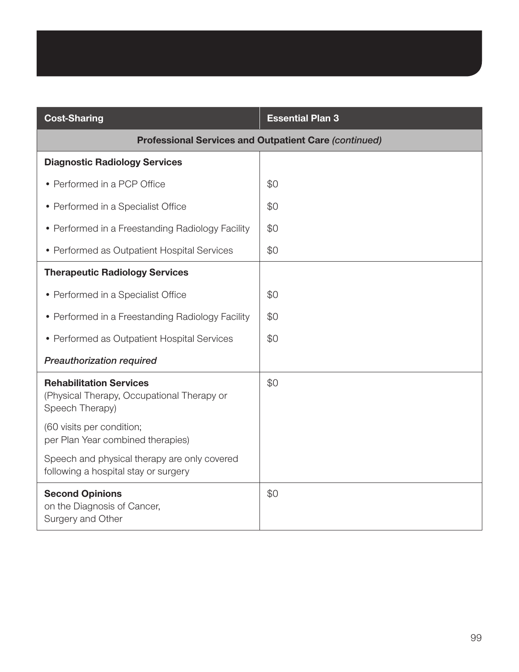| <b>Cost-Sharing</b>                                                                             | <b>Essential Plan 3</b> |
|-------------------------------------------------------------------------------------------------|-------------------------|
| <b>Professional Services and Outpatient Care (continued)</b>                                    |                         |
| <b>Diagnostic Radiology Services</b>                                                            |                         |
| • Performed in a PCP Office                                                                     | \$0                     |
| • Performed in a Specialist Office                                                              | \$0                     |
| • Performed in a Freestanding Radiology Facility                                                | \$0                     |
| • Performed as Outpatient Hospital Services                                                     | \$0                     |
| <b>Therapeutic Radiology Services</b>                                                           |                         |
| • Performed in a Specialist Office                                                              | \$0                     |
| • Performed in a Freestanding Radiology Facility                                                | \$0                     |
| • Performed as Outpatient Hospital Services                                                     | \$0                     |
| Preauthorization required                                                                       |                         |
| <b>Rehabilitation Services</b><br>(Physical Therapy, Occupational Therapy or<br>Speech Therapy) | \$0                     |
| (60 visits per condition;<br>per Plan Year combined therapies)                                  |                         |
| Speech and physical therapy are only covered<br>following a hospital stay or surgery            |                         |
| <b>Second Opinions</b><br>on the Diagnosis of Cancer,<br>Surgery and Other                      | \$0                     |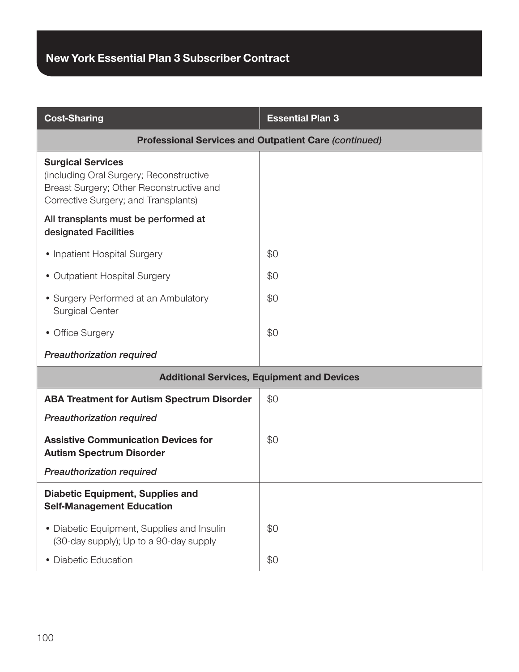| <b>Cost-Sharing</b>                                                                                                                                     | <b>Essential Plan 3</b> |
|---------------------------------------------------------------------------------------------------------------------------------------------------------|-------------------------|
| <b>Professional Services and Outpatient Care (continued)</b>                                                                                            |                         |
| <b>Surgical Services</b><br>(including Oral Surgery; Reconstructive<br>Breast Surgery; Other Reconstructive and<br>Corrective Surgery; and Transplants) |                         |
| All transplants must be performed at<br>designated Facilities                                                                                           |                         |
| • Inpatient Hospital Surgery                                                                                                                            | \$0                     |
| • Outpatient Hospital Surgery                                                                                                                           | \$0                     |
| • Surgery Performed at an Ambulatory<br><b>Surgical Center</b>                                                                                          | \$0                     |
| • Office Surgery                                                                                                                                        | \$0                     |
| <b>Preauthorization required</b>                                                                                                                        |                         |
| <b>Additional Services, Equipment and Devices</b>                                                                                                       |                         |
| <b>ABA Treatment for Autism Spectrum Disorder</b>                                                                                                       | \$0                     |
| <b>Preauthorization required</b>                                                                                                                        |                         |
| <b>Assistive Communication Devices for</b><br><b>Autism Spectrum Disorder</b>                                                                           | \$0                     |
| Preauthorization required                                                                                                                               |                         |
| <b>Diabetic Equipment, Supplies and</b><br><b>Self-Management Education</b>                                                                             |                         |
| • Diabetic Equipment, Supplies and Insulin<br>(30-day supply); Up to a 90-day supply                                                                    | \$0                     |
| • Diabetic Education                                                                                                                                    | \$0                     |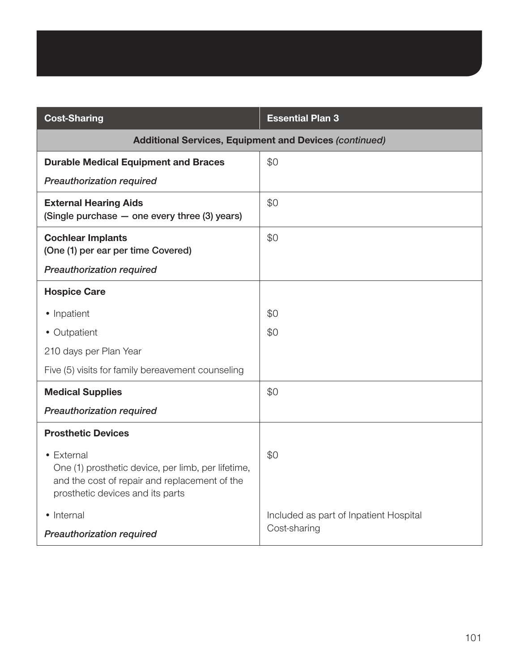| <b>Cost-Sharing</b>                                                                                                                                   | <b>Essential Plan 3</b>                |
|-------------------------------------------------------------------------------------------------------------------------------------------------------|----------------------------------------|
| <b>Additional Services, Equipment and Devices (continued)</b>                                                                                         |                                        |
| <b>Durable Medical Equipment and Braces</b>                                                                                                           | \$0                                    |
| <b>Preauthorization required</b>                                                                                                                      |                                        |
| <b>External Hearing Aids</b><br>(Single purchase - one every three (3) years)                                                                         | \$0                                    |
| <b>Cochlear Implants</b><br>(One (1) per ear per time Covered)                                                                                        | \$0                                    |
| <b>Preauthorization required</b>                                                                                                                      |                                        |
| <b>Hospice Care</b>                                                                                                                                   |                                        |
| • Inpatient                                                                                                                                           | \$0                                    |
| • Outpatient                                                                                                                                          | \$0                                    |
| 210 days per Plan Year                                                                                                                                |                                        |
| Five (5) visits for family bereavement counseling                                                                                                     |                                        |
| <b>Medical Supplies</b>                                                                                                                               | \$0                                    |
| <b>Preauthorization required</b>                                                                                                                      |                                        |
| <b>Prosthetic Devices</b>                                                                                                                             |                                        |
| • External<br>One (1) prosthetic device, per limb, per lifetime,<br>and the cost of repair and replacement of the<br>prosthetic devices and its parts | \$0                                    |
| • Internal                                                                                                                                            | Included as part of Inpatient Hospital |
| <b>Preauthorization required</b>                                                                                                                      | Cost-sharing                           |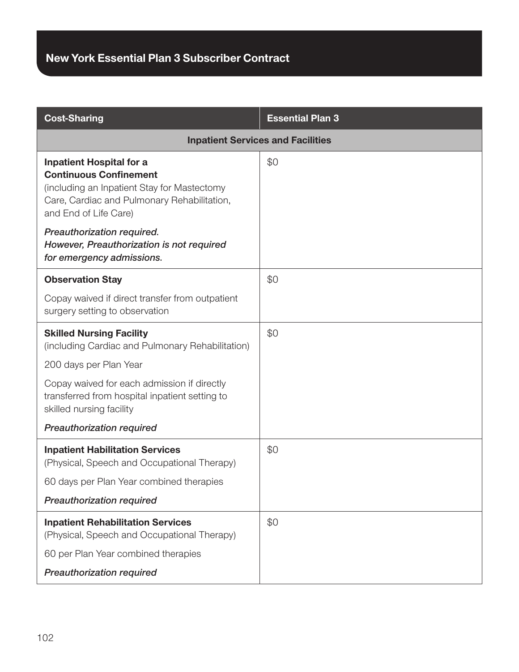| <b>Cost-Sharing</b>                                                                                                                                                                     | <b>Essential Plan 3</b> |
|-----------------------------------------------------------------------------------------------------------------------------------------------------------------------------------------|-------------------------|
| <b>Inpatient Services and Facilities</b>                                                                                                                                                |                         |
| <b>Inpatient Hospital for a</b><br><b>Continuous Confinement</b><br>(including an Inpatient Stay for Mastectomy<br>Care, Cardiac and Pulmonary Rehabilitation,<br>and End of Life Care) | \$0                     |
| Preauthorization required.<br>However, Preauthorization is not required<br>for emergency admissions.                                                                                    |                         |
| <b>Observation Stay</b>                                                                                                                                                                 | \$0                     |
| Copay waived if direct transfer from outpatient<br>surgery setting to observation                                                                                                       |                         |
| <b>Skilled Nursing Facility</b><br>(including Cardiac and Pulmonary Rehabilitation)                                                                                                     | \$0                     |
| 200 days per Plan Year                                                                                                                                                                  |                         |
| Copay waived for each admission if directly<br>transferred from hospital inpatient setting to<br>skilled nursing facility                                                               |                         |
| <b>Preauthorization required</b>                                                                                                                                                        |                         |
| <b>Inpatient Habilitation Services</b><br>(Physical, Speech and Occupational Therapy)                                                                                                   | \$0                     |
| 60 days per Plan Year combined therapies                                                                                                                                                |                         |
| <b>Preauthorization required</b>                                                                                                                                                        |                         |
| <b>Inpatient Rehabilitation Services</b><br>(Physical, Speech and Occupational Therapy)                                                                                                 | \$0                     |
| 60 per Plan Year combined therapies                                                                                                                                                     |                         |
| <b>Preauthorization required</b>                                                                                                                                                        |                         |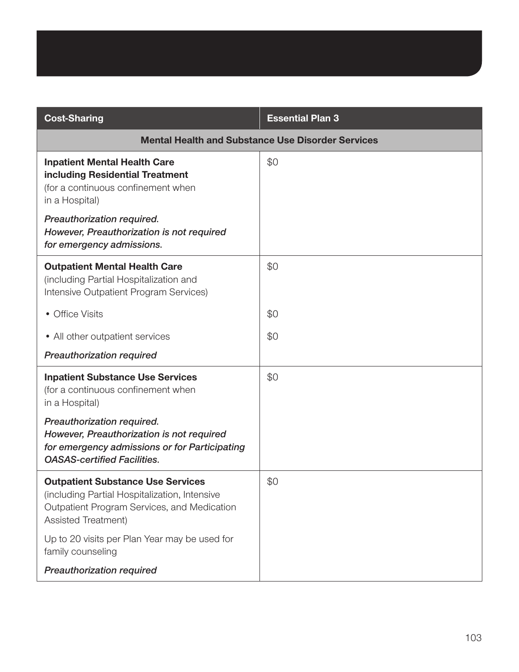| <b>Cost-Sharing</b>                                                                                                                                             | <b>Essential Plan 3</b> |
|-----------------------------------------------------------------------------------------------------------------------------------------------------------------|-------------------------|
| <b>Mental Health and Substance Use Disorder Services</b>                                                                                                        |                         |
| <b>Inpatient Mental Health Care</b><br>including Residential Treatment<br>(for a continuous confinement when<br>in a Hospital)                                  | \$0                     |
| Preauthorization required.<br>However, Preauthorization is not required<br>for emergency admissions.                                                            |                         |
| <b>Outpatient Mental Health Care</b><br>(including Partial Hospitalization and<br>Intensive Outpatient Program Services)                                        | \$0                     |
| • Office Visits                                                                                                                                                 | \$0                     |
| • All other outpatient services                                                                                                                                 | \$0                     |
| <b>Preauthorization required</b>                                                                                                                                |                         |
| <b>Inpatient Substance Use Services</b><br>(for a continuous confinement when<br>in a Hospital)                                                                 | \$0                     |
| Preauthorization required.<br>However, Preauthorization is not required<br>for emergency admissions or for Participating<br><b>OASAS-certified Facilities.</b>  |                         |
| <b>Outpatient Substance Use Services</b><br>(including Partial Hospitalization, Intensive<br>Outpatient Program Services, and Medication<br>Assisted Treatment) | \$0                     |
| Up to 20 visits per Plan Year may be used for<br>family counseling                                                                                              |                         |
| <b>Preauthorization required</b>                                                                                                                                |                         |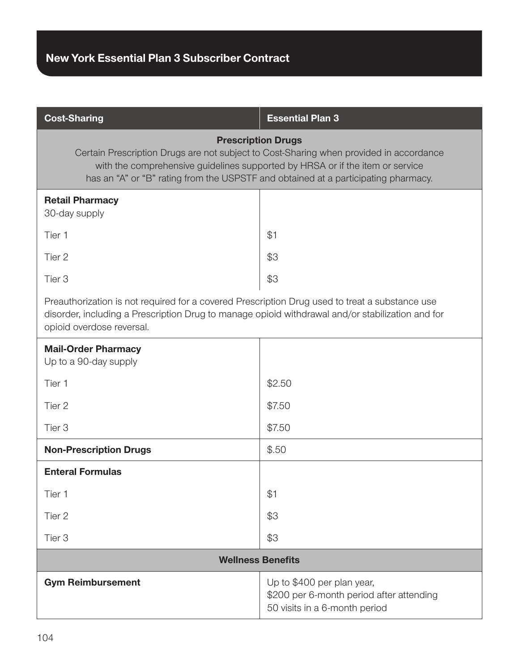| <b>Cost-Sharing</b>                                                                                                                                                                                                                                                                        | <b>Essential Plan 3</b>                                                                                 |  |
|--------------------------------------------------------------------------------------------------------------------------------------------------------------------------------------------------------------------------------------------------------------------------------------------|---------------------------------------------------------------------------------------------------------|--|
| <b>Prescription Drugs</b><br>Certain Prescription Drugs are not subject to Cost-Sharing when provided in accordance<br>with the comprehensive guidelines supported by HRSA or if the item or service<br>has an "A" or "B" rating from the USPSTF and obtained at a participating pharmacy. |                                                                                                         |  |
| <b>Retail Pharmacy</b><br>30-day supply                                                                                                                                                                                                                                                    |                                                                                                         |  |
| Tier 1                                                                                                                                                                                                                                                                                     | \$1                                                                                                     |  |
| Tier 2                                                                                                                                                                                                                                                                                     | \$3                                                                                                     |  |
| Tier <sub>3</sub>                                                                                                                                                                                                                                                                          | \$3                                                                                                     |  |
| Preauthorization is not required for a covered Prescription Drug used to treat a substance use<br>disorder, including a Prescription Drug to manage opioid withdrawal and/or stabilization and for<br>opioid overdose reversal.                                                            |                                                                                                         |  |
| <b>Mail-Order Pharmacy</b><br>Up to a 90-day supply                                                                                                                                                                                                                                        |                                                                                                         |  |
| Tier 1                                                                                                                                                                                                                                                                                     | \$2.50                                                                                                  |  |
| Tier 2                                                                                                                                                                                                                                                                                     | \$7.50                                                                                                  |  |
| Tier <sub>3</sub>                                                                                                                                                                                                                                                                          | \$7.50                                                                                                  |  |
| <b>Non-Prescription Drugs</b>                                                                                                                                                                                                                                                              | \$.50                                                                                                   |  |
| <b>Enteral Formulas</b>                                                                                                                                                                                                                                                                    |                                                                                                         |  |
| Tier 1                                                                                                                                                                                                                                                                                     | \$1                                                                                                     |  |
| Tier 2                                                                                                                                                                                                                                                                                     | \$3                                                                                                     |  |
| Tier <sub>3</sub>                                                                                                                                                                                                                                                                          | \$3                                                                                                     |  |
| <b>Wellness Benefits</b>                                                                                                                                                                                                                                                                   |                                                                                                         |  |
| <b>Gym Reimbursement</b>                                                                                                                                                                                                                                                                   | Up to \$400 per plan year,<br>\$200 per 6-month period after attending<br>50 visits in a 6-month period |  |